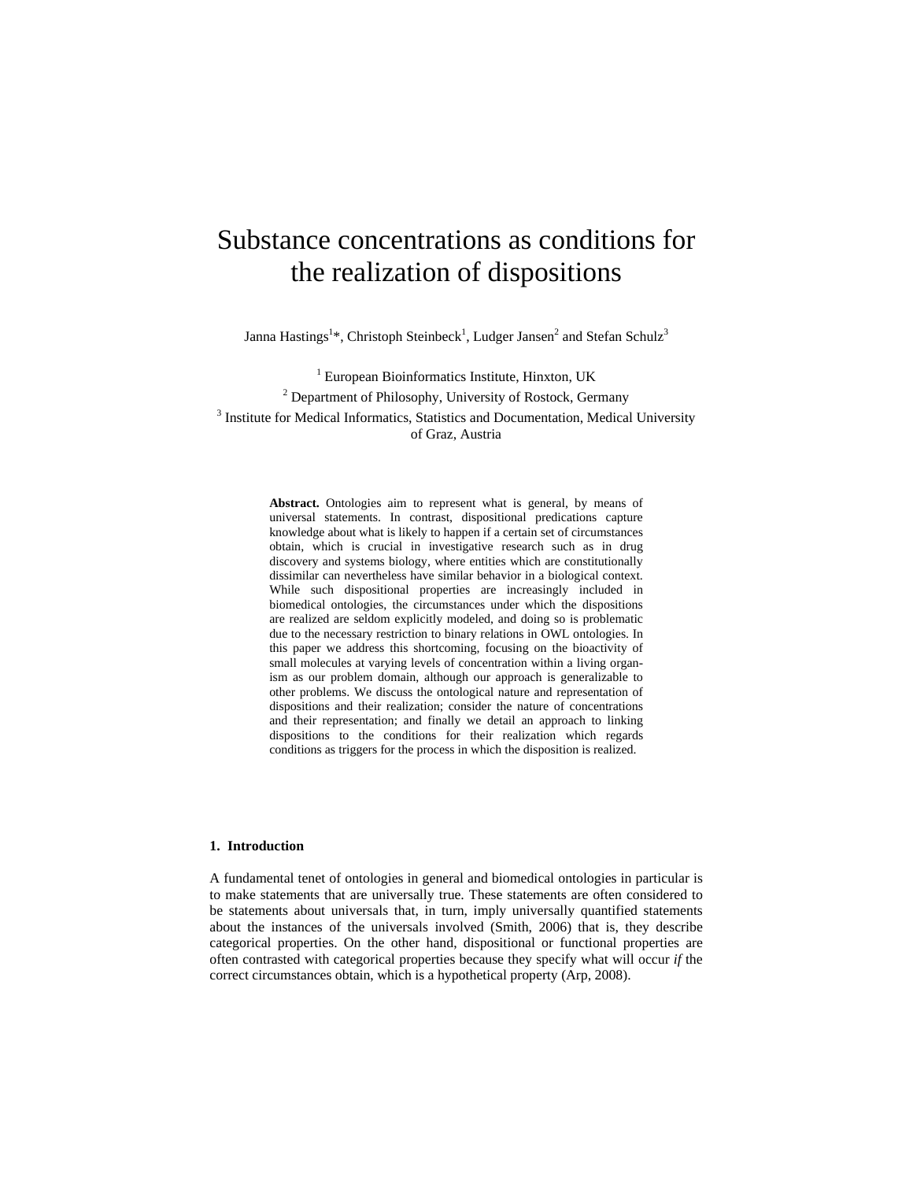# Substance concentrations as conditions for the realization of dispositions

Janna Hastings<sup>1\*</sup>, Christoph Steinbeck<sup>1</sup>, Ludger Jansen<sup>2</sup> and Stefan Schulz<sup>3</sup>

<sup>1</sup> European Bioinformatics Institute, Hinxton, UK<br><sup>2</sup> Department of Philosophy, University of Bostock, Ger <sup>2</sup> Department of Philosophy, University of Rostock, Germany <sup>3</sup> Institute for Medical Informatics, Statistics and Documentation, Medical University of Graz, Austria

> **Abstract.** Ontologies aim to represent what is general, by means of universal statements. In contrast, dispositional predications capture knowledge about what is likely to happen if a certain set of circumstances obtain, which is crucial in investigative research such as in drug discovery and systems biology, where entities which are constitutionally dissimilar can nevertheless have similar behavior in a biological context. While such dispositional properties are increasingly included in biomedical ontologies, the circumstances under which the dispositions are realized are seldom explicitly modeled, and doing so is problematic due to the necessary restriction to binary relations in OWL ontologies. In this paper we address this shortcoming, focusing on the bioactivity of small molecules at varying levels of concentration within a living organism as our problem domain, although our approach is generalizable to other problems. We discuss the ontological nature and representation of dispositions and their realization; consider the nature of concentrations and their representation; and finally we detail an approach to linking dispositions to the conditions for their realization which regards conditions as triggers for the process in which the disposition is realized.

# **1. Introduction**

A fundamental tenet of ontologies in general and biomedical ontologies in particular is to make statements that are universally true. These statements are often considered to be statements about universals that, in turn, imply universally quantified statements about the instances of the universals involved (Smith, 2006) that is, they describe categorical properties. On the other hand, dispositional or functional properties are often contrasted with categorical properties because they specify what will occur *if* the correct circumstances obtain, which is a hypothetical property (Arp, 2008).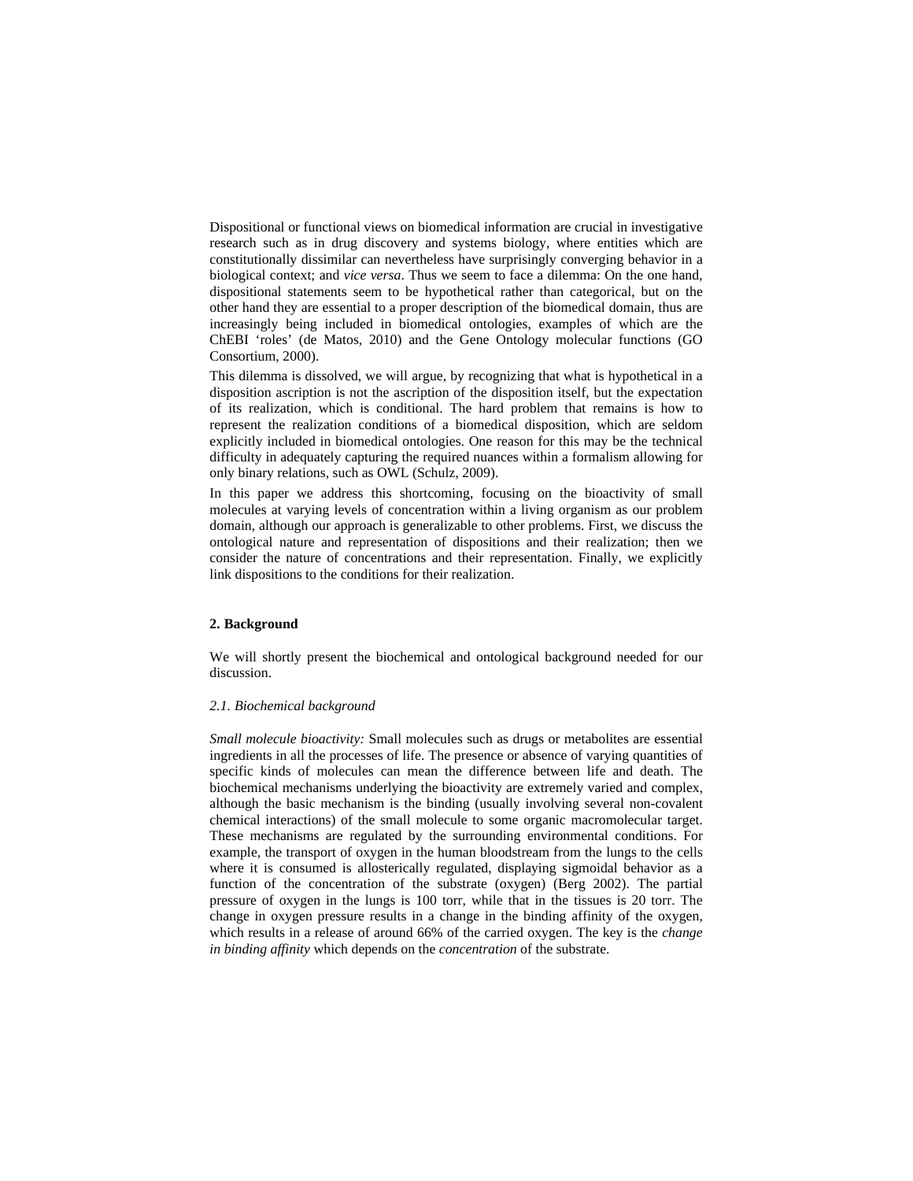Dispositional or functional views on biomedical information are crucial in investigative research such as in drug discovery and systems biology, where entities which are constitutionally dissimilar can nevertheless have surprisingly converging behavior in a biological context; and *vice versa*. Thus we seem to face a dilemma: On the one hand, dispositional statements seem to be hypothetical rather than categorical, but on the other hand they are essential to a proper description of the biomedical domain, thus are increasingly being included in biomedical ontologies, examples of which are the ChEBI 'roles' (de Matos, 2010) and the Gene Ontology molecular functions (GO Consortium, 2000).

This dilemma is dissolved, we will argue, by recognizing that what is hypothetical in a disposition ascription is not the ascription of the disposition itself, but the expectation of its realization, which is conditional. The hard problem that remains is how to represent the realization conditions of a biomedical disposition, which are seldom explicitly included in biomedical ontologies. One reason for this may be the technical difficulty in adequately capturing the required nuances within a formalism allowing for only binary relations, such as OWL (Schulz, 2009).

In this paper we address this shortcoming, focusing on the bioactivity of small molecules at varying levels of concentration within a living organism as our problem domain, although our approach is generalizable to other problems. First, we discuss the ontological nature and representation of dispositions and their realization; then we consider the nature of concentrations and their representation. Finally, we explicitly link dispositions to the conditions for their realization.

# **2. Background**

We will shortly present the biochemical and ontological background needed for our discussion.

# *2.1. Biochemical background*

*Small molecule bioactivity:* Small molecules such as drugs or metabolites are essential ingredients in all the processes of life. The presence or absence of varying quantities of specific kinds of molecules can mean the difference between life and death. The biochemical mechanisms underlying the bioactivity are extremely varied and complex, although the basic mechanism is the binding (usually involving several non-covalent chemical interactions) of the small molecule to some organic macromolecular target. These mechanisms are regulated by the surrounding environmental conditions. For example, the transport of oxygen in the human bloodstream from the lungs to the cells where it is consumed is allosterically regulated, displaying sigmoidal behavior as a function of the concentration of the substrate (oxygen) (Berg 2002). The partial pressure of oxygen in the lungs is 100 torr, while that in the tissues is 20 torr. The change in oxygen pressure results in a change in the binding affinity of the oxygen, which results in a release of around 66% of the carried oxygen. The key is the *change in binding affinity* which depends on the *concentration* of the substrate.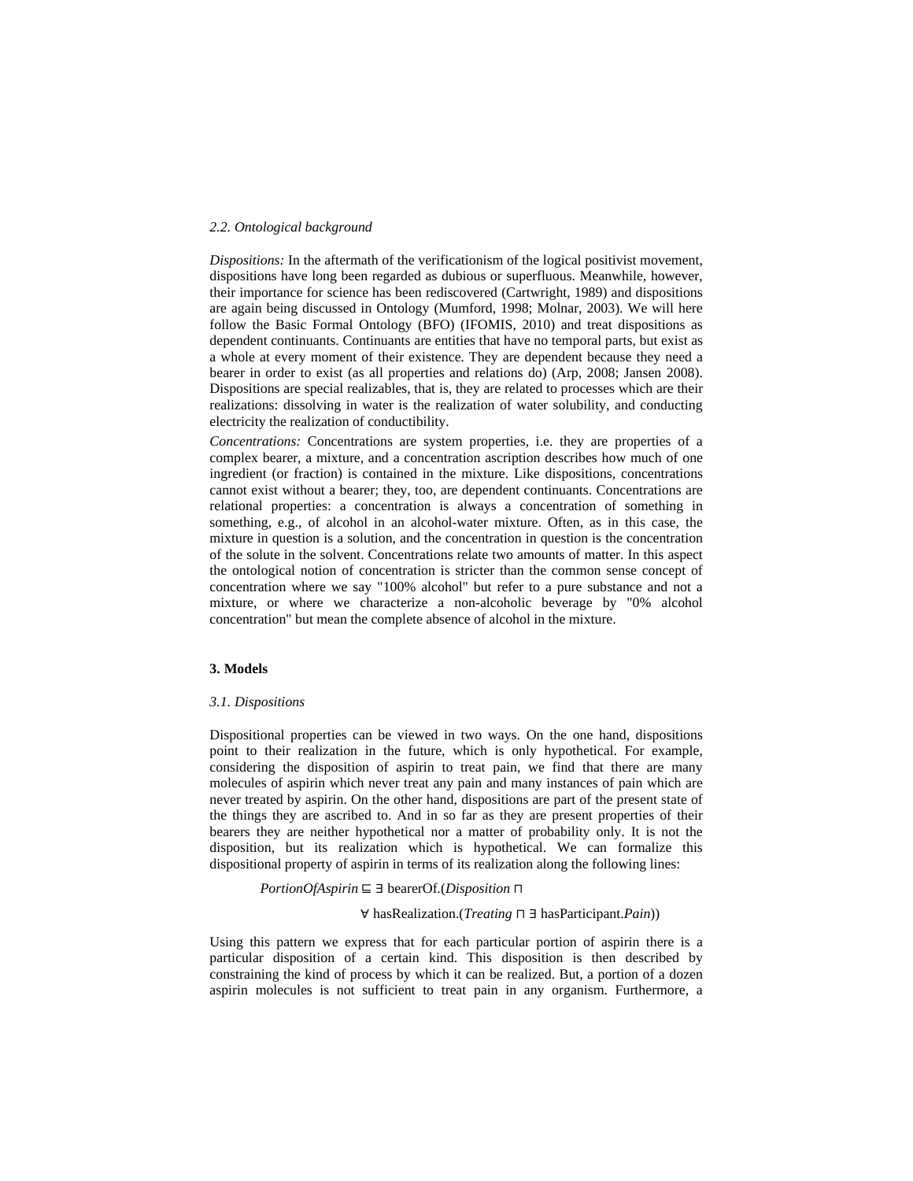#### *2.2. Ontological background*

*Dispositions:* In the aftermath of the verificationism of the logical positivist movement, dispositions have long been regarded as dubious or superfluous. Meanwhile, however, their importance for science has been rediscovered (Cartwright, 1989) and dispositions are again being discussed in Ontology (Mumford, 1998; Molnar, 2003). We will here follow the Basic Formal Ontology (BFO) (IFOMIS, 2010) and treat dispositions as dependent continuants. Continuants are entities that have no temporal parts, but exist as a whole at every moment of their existence. They are dependent because they need a bearer in order to exist (as all properties and relations do) (Arp, 2008; Jansen 2008). Dispositions are special realizables, that is, they are related to processes which are their realizations: dissolving in water is the realization of water solubility, and conducting electricity the realization of conductibility.

*Concentrations:* Concentrations are system properties, i.e. they are properties of a complex bearer, a mixture, and a concentration ascription describes how much of one ingredient (or fraction) is contained in the mixture. Like dispositions, concentrations cannot exist without a bearer; they, too, are dependent continuants. Concentrations are relational properties: a concentration is always a concentration of something in something, e.g., of alcohol in an alcohol-water mixture. Often, as in this case, the mixture in question is a solution, and the concentration in question is the concentration of the solute in the solvent. Concentrations relate two amounts of matter. In this aspect the ontological notion of concentration is stricter than the common sense concept of concentration where we say "100% alcohol" but refer to a pure substance and not a mixture, or where we characterize a non-alcoholic beverage by "0% alcohol concentration" but mean the complete absence of alcohol in the mixture.

# **3. Models**

#### *3.1. Dispositions*

Dispositional properties can be viewed in two ways. On the one hand, dispositions point to their realization in the future, which is only hypothetical. For example, considering the disposition of aspirin to treat pain, we find that there are many molecules of aspirin which never treat any pain and many instances of pain which are never treated by aspirin. On the other hand, dispositions are part of the present state of the things they are ascribed to. And in so far as they are present properties of their bearers they are neither hypothetical nor a matter of probability only. It is not the disposition, but its realization which is hypothetical. We can formalize this dispositional property of aspirin in terms of its realization along the following lines:

*PortionOfAspirin* ⊑ ∃ bearerOf*.*(*Disposition* ⊓ 

## ∀ hasRealization.(*Treating* ⊓ ∃ hasParticipant.*Pain*))

Using this pattern we express that for each particular portion of aspirin there is a particular disposition of a certain kind. This disposition is then described by constraining the kind of process by which it can be realized. But, a portion of a dozen aspirin molecules is not sufficient to treat pain in any organism. Furthermore, a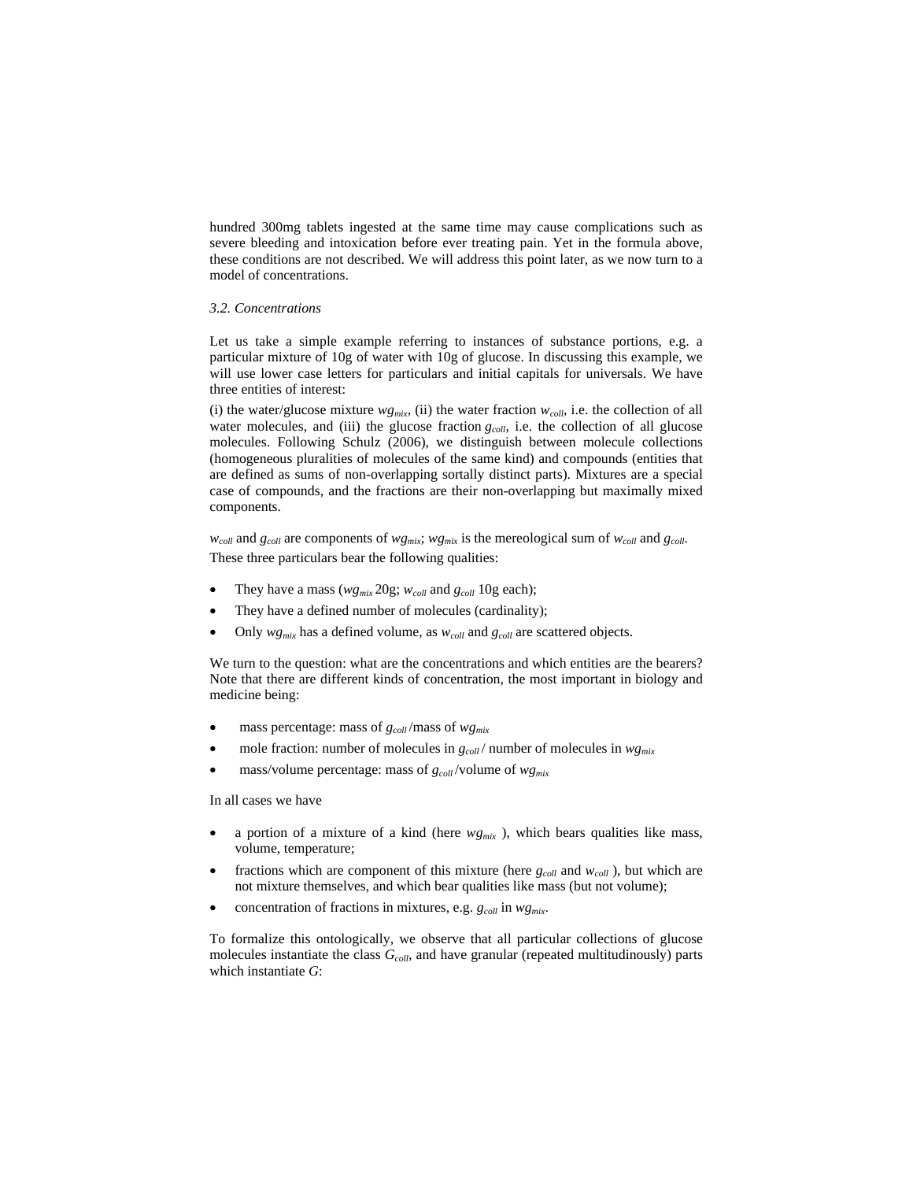hundred 300mg tablets ingested at the same time may cause complications such as severe bleeding and intoxication before ever treating pain. Yet in the formula above, these conditions are not described. We will address this point later, as we now turn to a model of concentrations.

# *3.2. Concentrations*

Let us take a simple example referring to instances of substance portions, e.g. a particular mixture of 10g of water with 10g of glucose. In discussing this example, we will use lower case letters for particulars and initial capitals for universals. We have three entities of interest:

(i) the water/glucose mixture  $wg_{mix}$ , (ii) the water fraction  $w_{coll}$ , i.e. the collection of all water molecules, and (iii) the glucose fraction *g<sub>coll</sub>*, i.e. the collection of all glucose molecules. Following Schulz (2006), we distinguish between molecule collections (homogeneous pluralities of molecules of the same kind) and compounds (entities that are defined as sums of non-overlapping sortally distinct parts). Mixtures are a special case of compounds, and the fractions are their non-overlapping but maximally mixed components.

 $w_{coll}$  and  $g_{coll}$  are components of  $w_{gmix}$ ;  $w_{gmix}$  is the mereological sum of  $w_{coll}$  and  $g_{coll}$ . These three particulars bear the following qualities:

- They have a mass ( $wg_{mix}$  20g;  $w_{coll}$  and  $g_{coll}$  10g each);
- They have a defined number of molecules (cardinality);
- Only  $wg_{mix}$  has a defined volume, as  $w_{coll}$  and  $g_{coll}$  are scattered objects.

We turn to the question: what are the concentrations and which entities are the bearers? Note that there are different kinds of concentration, the most important in biology and medicine being:

- mass percentage: mass of *gcoll* /mass of *wgmix*
- mole fraction: number of molecules in *gcoll* / number of molecules in *wgmix*
- mass/volume percentage: mass of *gcoll* /volume of *wgmix*

In all cases we have

- a portion of a mixture of a kind (here *wgmix* ), which bears qualities like mass, volume, temperature;
- fractions which are component of this mixture (here  $g_{coll}$  and  $w_{coll}$ ), but which are not mixture themselves, and which bear qualities like mass (but not volume);
- concentration of fractions in mixtures, e.g. *gcoll* in *wgmix*.

To formalize this ontologically, we observe that all particular collections of glucose molecules instantiate the class  $G_{coll}$ , and have granular (repeated multitudinously) parts which instantiate *G*: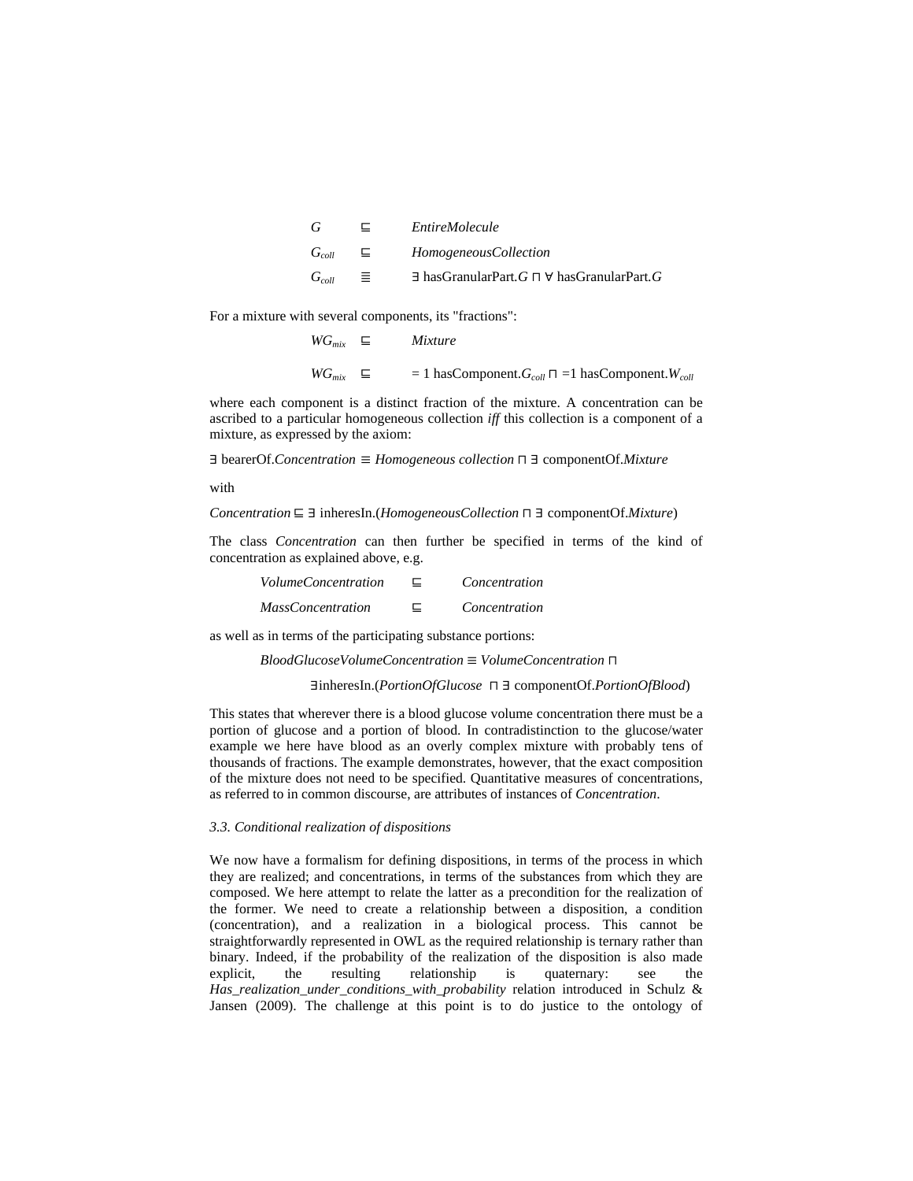| — ⊑ —             | <i>EntireMolecule</i>                                                  |
|-------------------|------------------------------------------------------------------------|
| $G_{coll}$ $\Box$ | HomogeneousCollection                                                  |
| $G_{coll} \equiv$ | $\exists$ has Granular Part, $G \sqcap \forall$ has Granular Part, $G$ |

For a mixture with several components, its "fractions":

 *WGmix* ⊑ *Mixture WG<sub>mix</sub>*  $\subseteq$  = 1 hasComponent.*G<sub>coll</sub>*  $\sqcap$  =1 hasComponent.*W<sub>coll</sub>* 

where each component is a distinct fraction of the mixture. A concentration can be ascribed to a particular homogeneous collection *iff* this collection is a component of a mixture, as expressed by the axiom:

∃ bearerOf.*Concentration* ≡ *Homogeneous collection* ⊓ ∃ componentOf.*Mixture*

with

*Concentration* ⊑ ∃ inheresIn.(*HomogeneousCollection* ⊓ ∃ componentOf.*Mixture*)

The class *Concentration* can then further be specified in terms of the kind of concentration as explained above, e.g.

| <i>VolumeConcentration</i> | ⊏ | Concentration |
|----------------------------|---|---------------|
| <i>MassConcentration</i>   |   | Concentration |

as well as in terms of the participating substance portions:

*BloodGlucoseVolumeConcentration* ≡ *VolumeConcentration* ⊓

∃inheresIn.(*PortionOfGlucose* ⊓ ∃ componentOf.*PortionOfBlood*)

This states that wherever there is a blood glucose volume concentration there must be a portion of glucose and a portion of blood. In contradistinction to the glucose/water example we here have blood as an overly complex mixture with probably tens of thousands of fractions. The example demonstrates, however, that the exact composition of the mixture does not need to be specified. Quantitative measures of concentrations, as referred to in common discourse, are attributes of instances of *Concentration*.

## *3.3. Conditional realization of dispositions*

We now have a formalism for defining dispositions, in terms of the process in which they are realized; and concentrations, in terms of the substances from which they are composed. We here attempt to relate the latter as a precondition for the realization of the former. We need to create a relationship between a disposition, a condition (concentration), and a realization in a biological process. This cannot be straightforwardly represented in OWL as the required relationship is ternary rather than binary. Indeed, if the probability of the realization of the disposition is also made explicit, the resulting relationship is quaternary: see the *Has\_realization\_under\_conditions\_with\_probability* relation introduced in Schulz & Jansen (2009). The challenge at this point is to do justice to the ontology of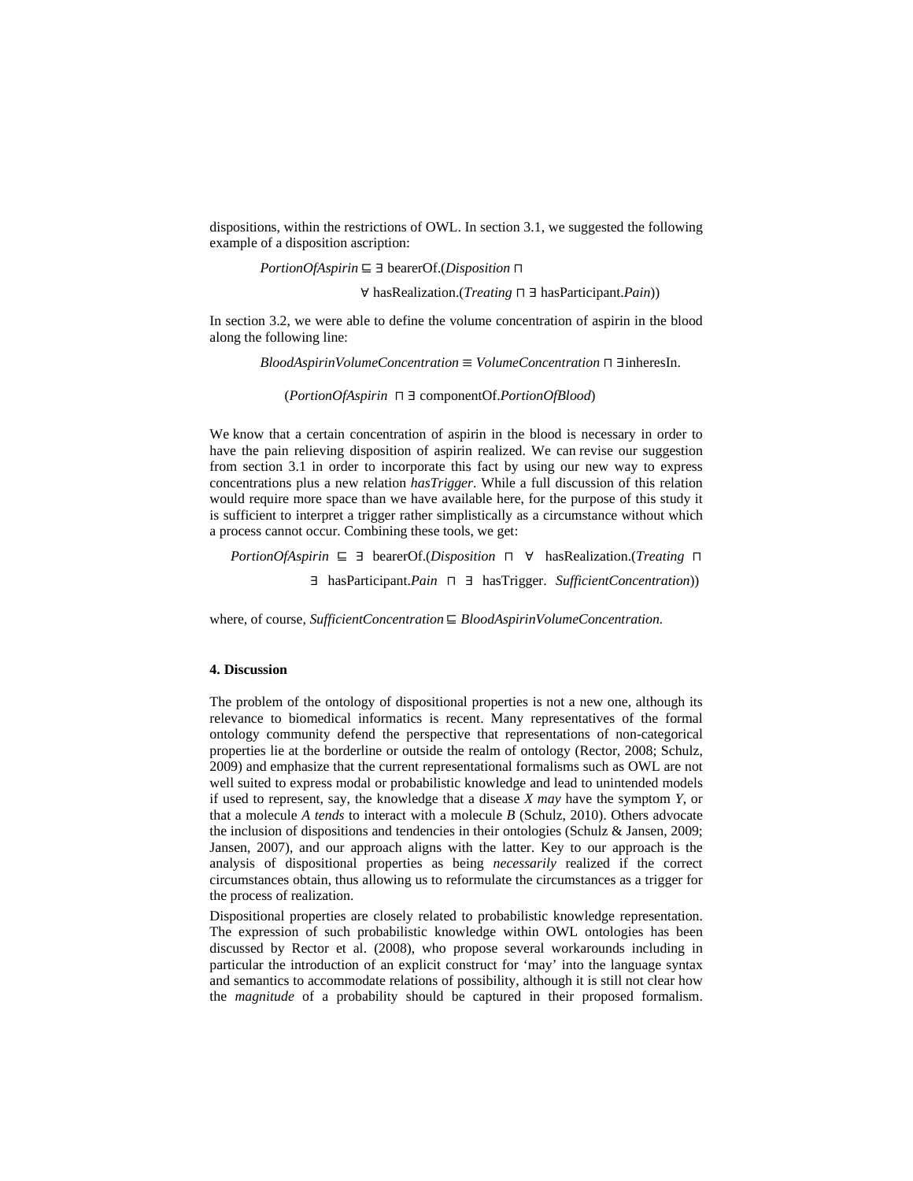dispositions, within the restrictions of OWL. In section 3.1, we suggested the following example of a disposition ascription:

*PortionOfAspirin* ⊑ ∃ bearerOf.(*Disposition* ⊓ 

∀ hasRealization.(*Treating* ⊓ ∃ hasParticipant.*Pain*))

In section 3.2, we were able to define the volume concentration of aspirin in the blood along the following line:

*BloodAspirinVolumeConcentration* ≡ *VolumeConcentration* ⊓ ∃inheresIn.

(*PortionOfAspirin* ⊓ ∃ componentOf.*PortionOfBlood*)

We know that a certain concentration of aspirin in the blood is necessary in order to have the pain relieving disposition of aspirin realized. We can revise our suggestion from section 3.1 in order to incorporate this fact by using our new way to express concentrations plus a new relation *hasTrigger*. While a full discussion of this relation would require more space than we have available here, for the purpose of this study it is sufficient to interpret a trigger rather simplistically as a circumstance without which a process cannot occur. Combining these tools, we get:

 *PortionOfAspirin* ⊑ ∃ bearerOf.(*Disposition* ⊓ ∀ hasRealization.(*Treating* ⊓

∃ hasParticipant.*Pain* ⊓ ∃ hasTrigger. *SufficientConcentration*))

where, of course, *SufficientConcentration* ⊑ *BloodAspirinVolumeConcentration.* 

## **4. Discussion**

The problem of the ontology of dispositional properties is not a new one, although its relevance to biomedical informatics is recent. Many representatives of the formal ontology community defend the perspective that representations of non-categorical properties lie at the borderline or outside the realm of ontology (Rector, 2008; Schulz, 2009) and emphasize that the current representational formalisms such as OWL are not well suited to express modal or probabilistic knowledge and lead to unintended models if used to represent, say, the knowledge that a disease *X may* have the symptom *Y*, or that a molecule *A tends* to interact with a molecule *B* (Schulz, 2010). Others advocate the inclusion of dispositions and tendencies in their ontologies (Schulz & Jansen, 2009; Jansen, 2007), and our approach aligns with the latter. Key to our approach is the analysis of dispositional properties as being *necessarily* realized if the correct circumstances obtain, thus allowing us to reformulate the circumstances as a trigger for the process of realization.

Dispositional properties are closely related to probabilistic knowledge representation. The expression of such probabilistic knowledge within OWL ontologies has been discussed by Rector et al. (2008), who propose several workarounds including in particular the introduction of an explicit construct for 'may' into the language syntax and semantics to accommodate relations of possibility, although it is still not clear how the *magnitude* of a probability should be captured in their proposed formalism.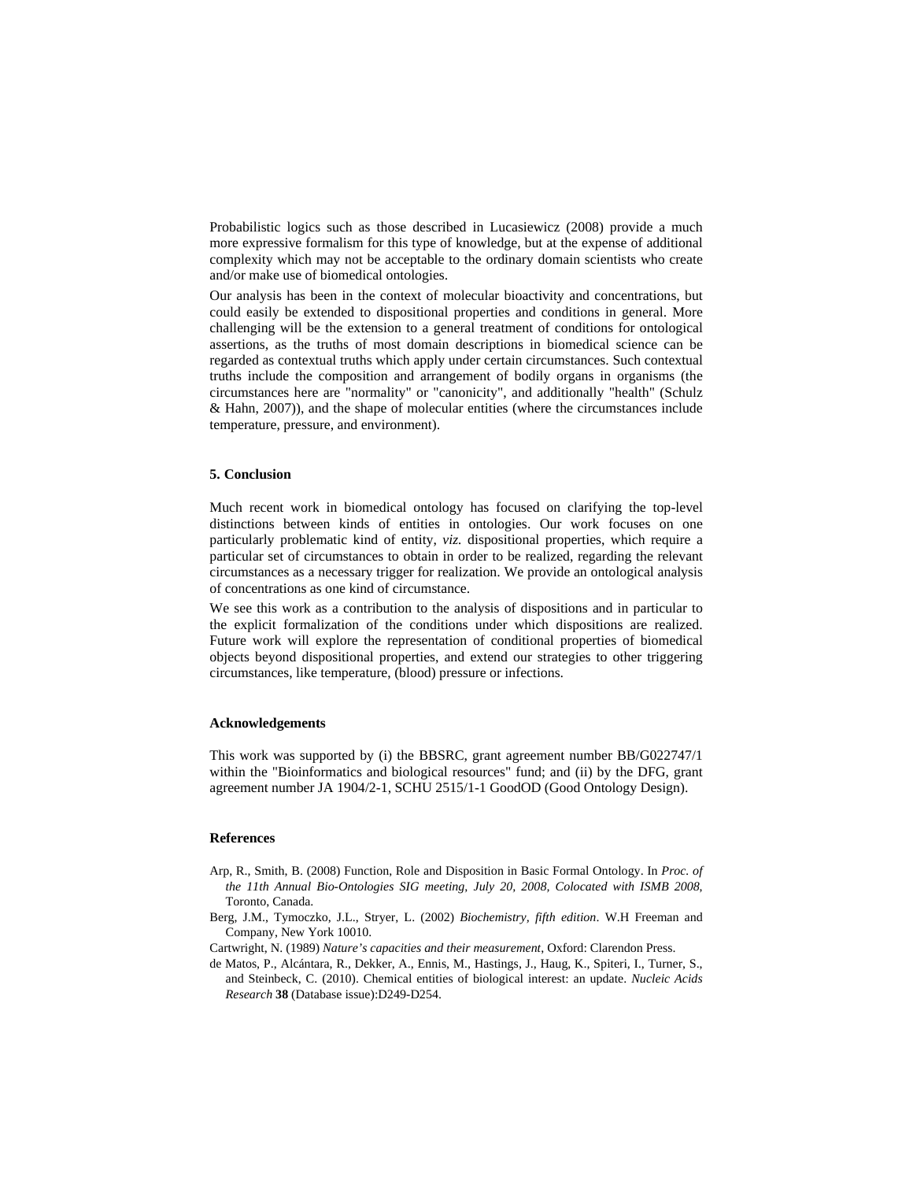Probabilistic logics such as those described in Lucasiewicz (2008) provide a much more expressive formalism for this type of knowledge, but at the expense of additional complexity which may not be acceptable to the ordinary domain scientists who create and/or make use of biomedical ontologies.

Our analysis has been in the context of molecular bioactivity and concentrations, but could easily be extended to dispositional properties and conditions in general. More challenging will be the extension to a general treatment of conditions for ontological assertions, as the truths of most domain descriptions in biomedical science can be regarded as contextual truths which apply under certain circumstances. Such contextual truths include the composition and arrangement of bodily organs in organisms (the circumstances here are "normality" or "canonicity", and additionally "health" (Schulz & Hahn, 2007)), and the shape of molecular entities (where the circumstances include temperature, pressure, and environment).

# **5. Conclusion**

Much recent work in biomedical ontology has focused on clarifying the top-level distinctions between kinds of entities in ontologies. Our work focuses on one particularly problematic kind of entity, *viz.* dispositional properties, which require a particular set of circumstances to obtain in order to be realized, regarding the relevant circumstances as a necessary trigger for realization. We provide an ontological analysis of concentrations as one kind of circumstance.

We see this work as a contribution to the analysis of dispositions and in particular to the explicit formalization of the conditions under which dispositions are realized. Future work will explore the representation of conditional properties of biomedical objects beyond dispositional properties, and extend our strategies to other triggering circumstances, like temperature, (blood) pressure or infections.

#### **Acknowledgements**

This work was supported by (i) the BBSRC, grant agreement number BB/G022747/1 within the "Bioinformatics and biological resources" fund; and (ii) by the DFG, grant agreement number JA 1904/2-1, SCHU 2515/1-1 GoodOD (Good Ontology Design).

## **References**

- Arp, R., Smith, B. (2008) Function, Role and Disposition in Basic Formal Ontology. In *Proc. of the 11th Annual Bio-Ontologies SIG meeting, July 20, 2008, Colocated with ISMB 2008*, Toronto, Canada.
- Berg, J.M., Tymoczko, J.L., Stryer, L. (2002) *Biochemistry, fifth edition*. W.H Freeman and Company, New York 10010.
- Cartwright, N. (1989) *Nature's capacities and their measurement*, Oxford: Clarendon Press.
- de Matos, P., Alcántara, R., Dekker, A., Ennis, M., Hastings, J., Haug, K., Spiteri, I., Turner, S., and Steinbeck, C. (2010). Chemical entities of biological interest: an update. *Nucleic Acids Research* **38** (Database issue):D249-D254.